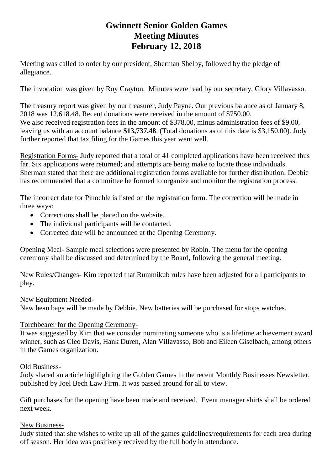# **Gwinnett Senior Golden Games Meeting Minutes February 12, 2018**

Meeting was called to order by our president, Sherman Shelby, followed by the pledge of allegiance.

The invocation was given by Roy Crayton. Minutes were read by our secretary, Glory Villavasso.

The treasury report was given by our treasurer, Judy Payne. Our previous balance as of January 8, 2018 was 12,618.48. Recent donations were received in the amount of \$750.00. We also received registration fees in the amount of \$378.00, minus administration fees of \$9.00, leaving us with an account balance **\$13,737.48**. (Total donations as of this date is \$3,150.00). Judy further reported that tax filing for the Games this year went well.

Registration Forms- Judy reported that a total of 41 completed applications have been received thus far. Six applications were returned; and attempts are being make to locate those individuals. Sherman stated that there are additional registration forms available for further distribution. Debbie has recommended that a committee be formed to organize and monitor the registration process.

The incorrect date for Pinochle is listed on the registration form. The correction will be made in three ways:

- Corrections shall be placed on the website.
- The individual participants will be contacted.
- Corrected date will be announced at the Opening Ceremony.

Opening Meal- Sample meal selections were presented by Robin. The menu for the opening ceremony shall be discussed and determined by the Board, following the general meeting.

New Rules/Changes- Kim reported that Rummikub rules have been adjusted for all participants to play.

#### New Equipment Needed-

New bean bags will be made by Debbie. New batteries will be purchased for stops watches.

## Torchbearer for the Opening Ceremony-

It was suggested by Kim that we consider nominating someone who is a lifetime achievement award winner, such as Cleo Davis, Hank Duren, Alan Villavasso, Bob and Eileen Giselbach, among others in the Games organization.

#### Old Business-

Judy shared an article highlighting the Golden Games in the recent Monthly Businesses Newsletter, published by Joel Bech Law Firm. It was passed around for all to view.

Gift purchases for the opening have been made and received. Event manager shirts shall be ordered next week.

## New Business-

Judy stated that she wishes to write up all of the games guidelines/requirements for each area during off season. Her idea was positively received by the full body in attendance.